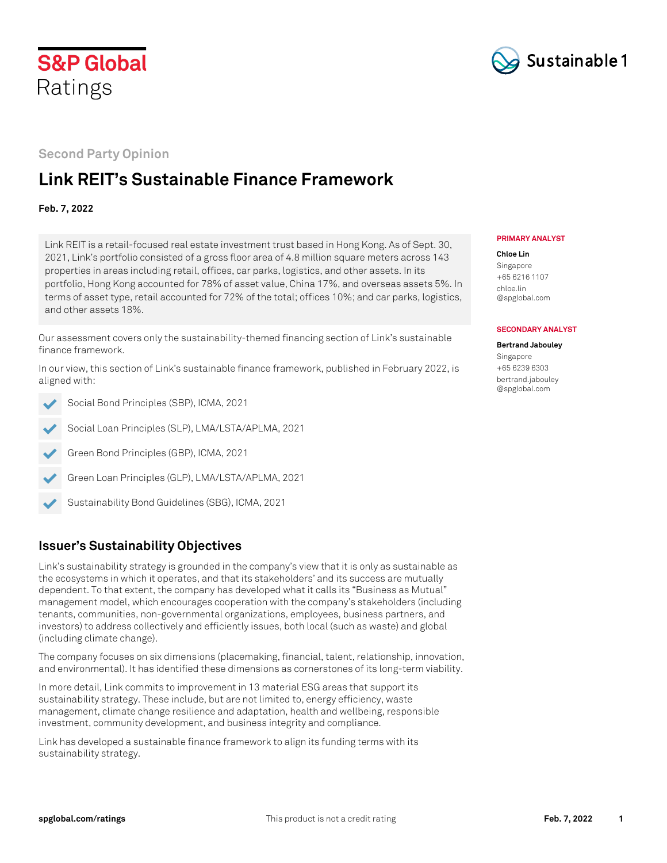



## **Second Party Opinion**

# **Link REIT's Sustainable Finance Framework**

### **Feb. 7, 2022**

Link REIT is a retail-focused real estate investment trust based in Hong Kong. As of Sept. 30, 2021, Link's portfolio consisted of a gross floor area of 4.8 million square meters across 143 properties in areas including retail, offices, car parks, logistics, and other assets. In its portfolio, Hong Kong accounted for 78% of asset value, China 17%, and overseas assets 5%. In terms of asset type, retail accounted for 72% of the total; offices 10%; and car parks, logistics, and other assets 18%.

Our assessment covers only the sustainability-themed financing section of Link's sustainable finance framework.

In our view, this section of Link's sustainable finance framework, published in February 2022, is aligned with:

Social Bond Principles (SBP), ICMA, 2021

- Social Loan Principles (SLP), LMA/LSTA/APLMA, 2021
- Green Bond Principles (GBP), ICMA, 2021
- ✔ Green Loan Principles (GLP), LMA/LSTA/APLMA, 2021
- Sustainability Bond Guidelines (SBG), ICMA, 2021

# **Issuer's Sustainability Objectives**

Link's sustainability strategy is grounded in the company's view that it is only as sustainable as the ecosystems in which it operates, and that its stakeholders' and its success are mutually dependent. To that extent, the company has developed what it calls its "Business as Mutual" management model, which encourages cooperation with the company's stakeholders (including tenants, communities, non-governmental organizations, employees, business partners, and investors) to address collectively and efficiently issues, both local (such as waste) and global (including climate change).

The company focuses on six dimensions (placemaking, financial, talent, relationship, innovation, and environmental). It has identified these dimensions as cornerstones of its long-term viability.

In more detail, Link commits to improvement in 13 material ESG areas that support its sustainability strategy. These include, but are not limited to, energy efficiency, waste management, climate change resilience and adaptation, health and wellbeing, responsible investment, community development, and business integrity and compliance.

Link has developed a sustainable finance framework to align its funding terms with its sustainability strategy.

#### **PRIMARY ANALYST**

#### **Chloe Lin** Singapore +65 6216 1107 [chloe.lin](mailto:chloe.lin@spglobal.com) [@spglobal.com](mailto:chloe.lin@spglobal.com)

#### **SECONDARY ANALYST**

**Bertrand Jabouley** Singapore +65 6239 6303 [bertrand.jabouley](mailto:bertrand.jabouley@spglobal.com) [@spglobal.com](mailto:bertrand.jabouley@spglobal.com)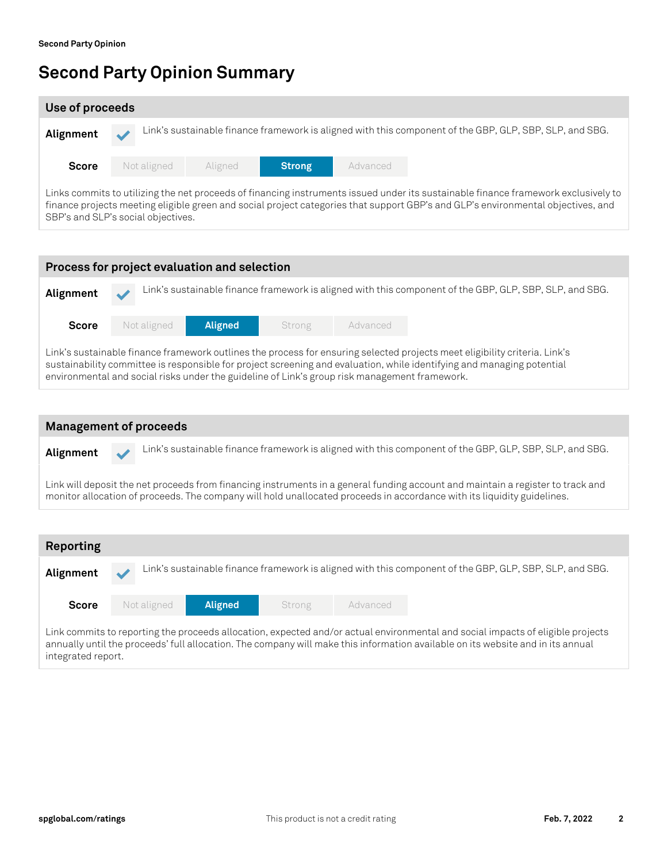SBP's and SLP's social objectives.

# **Second Party Opinion Summary**

| Use of proceeds                                                                                                                                                                                                                                                        |             |         |               |          |                                                                                                         |  |  |
|------------------------------------------------------------------------------------------------------------------------------------------------------------------------------------------------------------------------------------------------------------------------|-------------|---------|---------------|----------|---------------------------------------------------------------------------------------------------------|--|--|
| Alignment                                                                                                                                                                                                                                                              |             |         |               |          | Link's sustainable finance framework is aligned with this component of the GBP, GLP, SBP, SLP, and SBG. |  |  |
| <b>Score</b>                                                                                                                                                                                                                                                           | Not aligned | Aligned | <b>Strong</b> | Advanced |                                                                                                         |  |  |
| Links commits to utilizing the net proceeds of financing instruments issued under its sustainable finance framework exclusively to<br>finance projects meeting eligible green and social project categories that support GBP's and GLP's environmental objectives, and |             |         |               |          |                                                                                                         |  |  |

| Process for project evaluation and selection |             |                                                                                               |        |          |  |                                                                                                                                                                                                                                                      |  |
|----------------------------------------------|-------------|-----------------------------------------------------------------------------------------------|--------|----------|--|------------------------------------------------------------------------------------------------------------------------------------------------------------------------------------------------------------------------------------------------------|--|
| Alignment                                    |             |                                                                                               |        |          |  | Link's sustainable finance framework is aligned with this component of the GBP, GLP, SBP, SLP, and SBG.                                                                                                                                              |  |
| <b>Score</b>                                 | Not aligned | <b>Aligned</b>                                                                                | Strong | Advanced |  |                                                                                                                                                                                                                                                      |  |
|                                              |             | environmental and social risks under the guideline of Link's group risk management framework. |        |          |  | Link's sustainable finance framework outlines the process for ensuring selected projects meet eligibility criteria. Link's<br>sustainability committee is responsible for project screening and evaluation, while identifying and managing potential |  |

| <b>Management of proceeds</b>                                                                                                                                                                                                                              |  |  |  |  |  |  |  |
|------------------------------------------------------------------------------------------------------------------------------------------------------------------------------------------------------------------------------------------------------------|--|--|--|--|--|--|--|
| Link's sustainable finance framework is aligned with this component of the GBP, GLP, SBP, SLP, and SBG.<br>Alignment                                                                                                                                       |  |  |  |  |  |  |  |
| Link will deposit the net proceeds from financing instruments in a general funding account and maintain a register to track and<br>monitor allocation of proceeds. The company will hold unallocated proceeds in accordance with its liquidity guidelines. |  |  |  |  |  |  |  |
|                                                                                                                                                                                                                                                            |  |  |  |  |  |  |  |
| Reporting                                                                                                                                                                                                                                                  |  |  |  |  |  |  |  |

| Alignment    |             |                |        |          | Link's sustainable finance framework is aligned with this component of the GBP, GLP, SBP, SLP, and SBG.                         |  |
|--------------|-------------|----------------|--------|----------|---------------------------------------------------------------------------------------------------------------------------------|--|
| <b>Score</b> | Not aligned | <b>Aligned</b> | Strong | Advanced |                                                                                                                                 |  |
|              |             |                |        |          | Link commits to reporting the proceeds allocation, expected and/or actual environmental and social impacts of eligible projects |  |

annually until the proceeds' full allocation. The company will make this information available on its website and in its annual integrated report.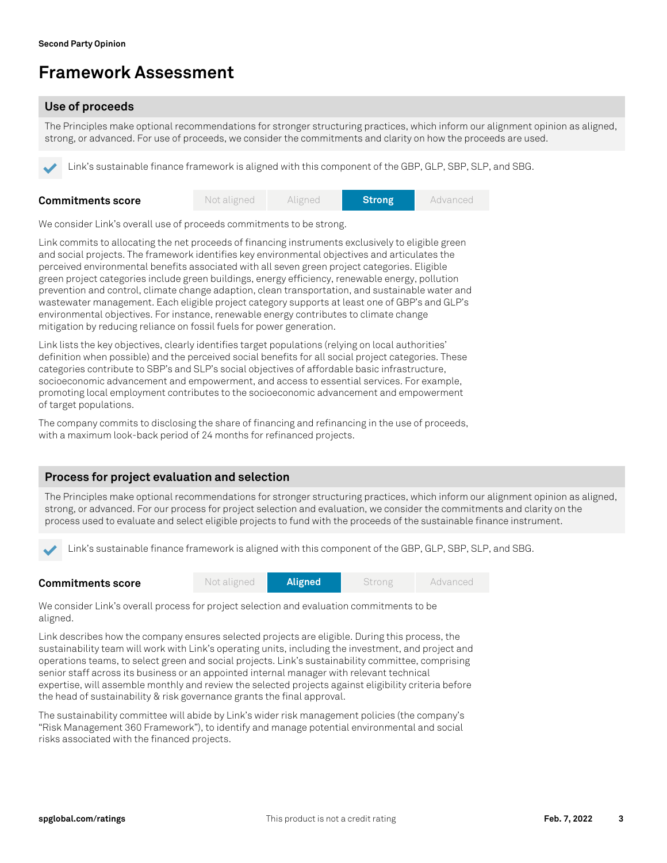# **Framework Assessment**

## **Use of proceeds**

The Principles make optional recommendations for stronger structuring practices, which inform our alignment opinion as aligned, strong, or advanced. For use of proceeds, we consider the commitments and clarity on how the proceeds are used.

Link's sustainable finance framework is aligned with this component of the GBP, GLP, SBP, SLP, and SBG.

| <b>Commitments score</b> | Not aligned | Aligned | <b>Strong</b> | Advanced |
|--------------------------|-------------|---------|---------------|----------|
|                          |             |         |               |          |

We consider Link's overall use of proceeds commitments to be strong.

Link commits to allocating the net proceeds of financing instruments exclusively to eligible green and social projects. The framework identifies key environmental objectives and articulates the perceived environmental benefits associated with all seven green project categories. Eligible green project categories include green buildings, energy efficiency, renewable energy, pollution prevention and control, climate change adaption, clean transportation, and sustainable water and wastewater management. Each eligible project category supports at least one of GBP's and GLP's environmental objectives. For instance, renewable energy contributes to climate change mitigation by reducing reliance on fossil fuels for power generation.

Link lists the key objectives, clearly identifies target populations (relying on local authorities' definition when possible) and the perceived social benefits for all social project categories. These categories contribute to SBP's and SLP's social objectives of affordable basic infrastructure, socioeconomic advancement and empowerment, and access to essential services. For example, promoting local employment contributes to the socioeconomic advancement and empowerment of target populations.

The company commits to disclosing the share of financing and refinancing in the use of proceeds, with a maximum look-back period of 24 months for refinanced projects.

## **Process for project evaluation and selection**

The Principles make optional recommendations for stronger structuring practices, which inform our alignment opinion as aligned, strong, or advanced. For our process for project selection and evaluation, we consider the commitments and clarity on the process used to evaluate and select eligible projects to fund with the proceeds of the sustainable finance instrument.

Link's sustainable finance framework is aligned with this component of the GBP, GLP, SBP, SLP, and SBG.

| <b>Commitments score</b> | Not aligned | <b>Aligned</b> | Strong | Advanced |
|--------------------------|-------------|----------------|--------|----------|
|                          |             |                |        |          |

We consider Link's overall process for project selection and evaluation commitments to be aligned.

Link describes how the company ensures selected projects are eligible. During this process, the sustainability team will work with Link's operating units, including the investment, and project and operations teams, to select green and social projects. Link's sustainability committee, comprising senior staff across its business or an appointed internal manager with relevant technical expertise, will assemble monthly and review the selected projects against eligibility criteria before the head of sustainability & risk governance grants the final approval.

The sustainability committee will abide by Link's wider risk management policies (the company's "Risk Management 360 Framework"), to identify and manage potential environmental and social risks associated with the financed projects.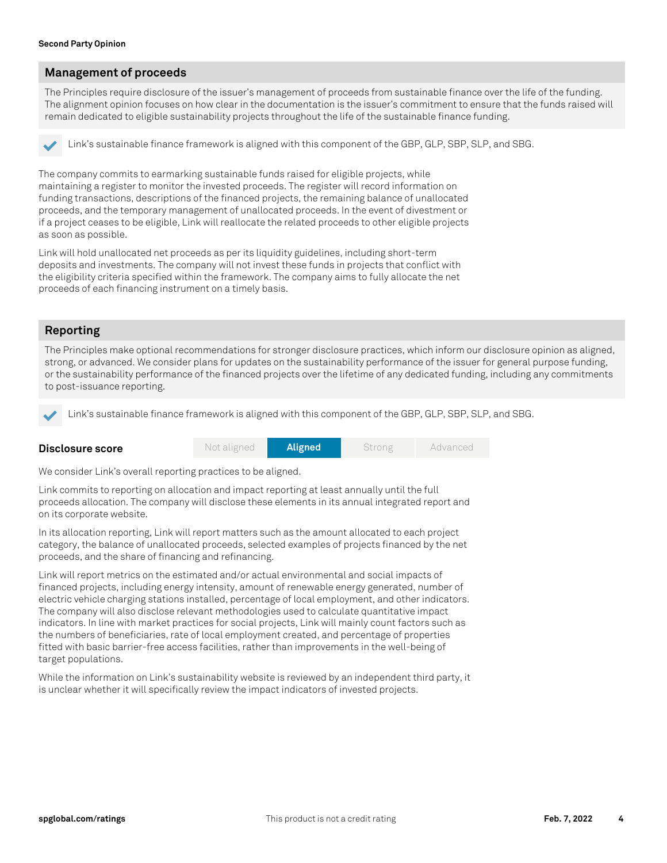### **Management of proceeds**

The Principles require disclosure of the issuer's management of proceeds from sustainable finance over the life of the funding. The alignment opinion focuses on how clear in the documentation is the issuer's commitment to ensure that the funds raised will remain dedicated to eligible sustainability projects throughout the life of the sustainable finance funding.

Link's sustainable finance framework is aligned with this component of the GBP, GLP, SBP, SLP, and SBG.

The company commits to earmarking sustainable funds raised for eligible projects, while maintaining a register to monitor the invested proceeds. The register will record information on funding transactions, descriptions of the financed projects, the remaining balance of unallocated proceeds, and the temporary management of unallocated proceeds. In the event of divestment or if a project ceases to be eligible, Link will reallocate the related proceeds to other eligible projects as soon as possible.

Link will hold unallocated net proceeds as per its liquidity guidelines, including short-term deposits and investments. The company will not invest these funds in projects that conflict with the eligibility criteria specified within the framework. The company aims to fully allocate the net proceeds of each financing instrument on a timely basis.

### **Reporting**

The Principles make optional recommendations for stronger disclosure practices, which inform our disclosure opinion as aligned, strong, or advanced. We consider plans for updates on the sustainability performance of the issuer for general purpose funding, or the sustainability performance of the financed projects over the lifetime of any dedicated funding, including any commitments to post-issuance reporting.

Link's sustainable finance framework is aligned with this component of the GBP, GLP, SBP, SLP, and SBG.

| Disclosure score | Not aligned | Aligned | Strong | Advanced |
|------------------|-------------|---------|--------|----------|
|                  |             |         |        |          |

We consider Link's overall reporting practices to be aligned.

Link commits to reporting on allocation and impact reporting at least annually until the full proceeds allocation. The company will disclose these elements in its annual integrated report and on its corporate website.

In its allocation reporting, Link will report matters such as the amount allocated to each project category, the balance of unallocated proceeds, selected examples of projects financed by the net proceeds, and the share of financing and refinancing.

Link will report metrics on the estimated and/or actual environmental and social impacts of financed projects, including energy intensity, amount of renewable energy generated, number of electric vehicle charging stations installed, percentage of local employment, and other indicators. The company will also disclose relevant methodologies used to calculate quantitative impact indicators. In line with market practices for social projects, Link will mainly count factors such as the numbers of beneficiaries, rate of local employment created, and percentage of properties fitted with basic barrier-free access facilities, rather than improvements in the well-being of target populations.

While the information on Link's sustainability website is reviewed by an independent third party, it is unclear whether it will specifically review the impact indicators of invested projects.